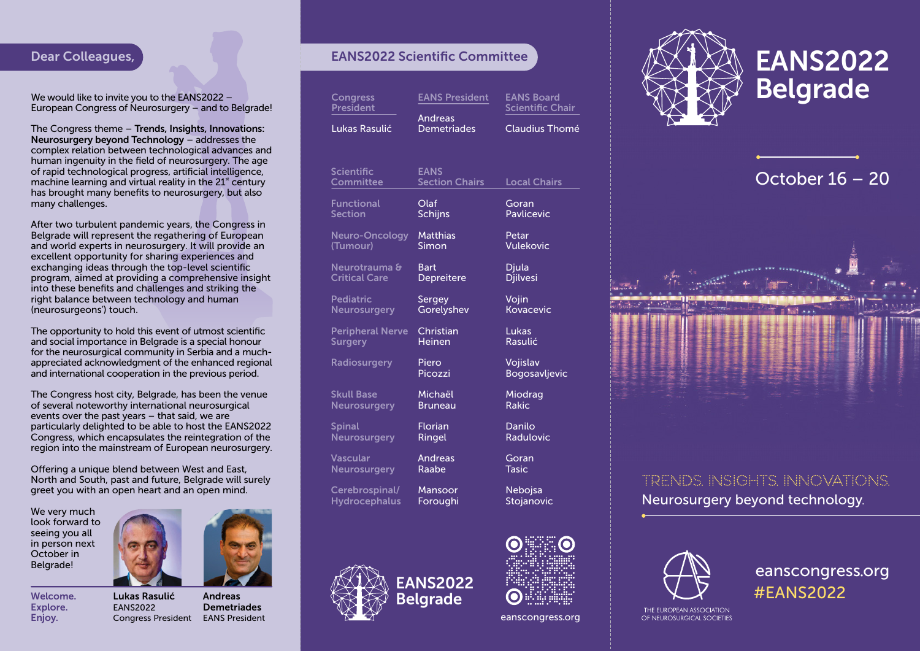We would like to invite you to the EANS2022 – European Congress of Neurosurgery – and to Belgrade!

The Congress theme – Trends, Insights, Innovations: Neurosurgery beyond Technology – addresses the complex relation between technological advances and human ingenuity in the field of neurosurgery. The age of rapid technological progress, artificial intelligence, machine learning and virtual reality in the 21<sup>st</sup> century has brought many benefits to neurosurgery, but also many challenges.

After two turbulent pandemic years, the Congress in Belgrade will represent the regathering of European and world experts in neurosurgery. It will provide an excellent opportunity for sharing experiences and exchanging ideas through the top-level scientific program, aimed at providing a comprehensive insight into these benefits and challenges and striking the right balance between technology and human (neurosurgeons') touch.

The opportunity to hold this event of utmost scientific and social importance in Belgrade is a special honour for the neurosurgical community in Serbia and a muchappreciated acknowledgment of the enhanced regional and international cooperation in the previous period.

The Congress host city, Belgrade, has been the venue of several noteworthy international neurosurgical events over the past years – that said, we are particularly delighted to be able to host the EANS2022 Congress, which encapsulates the reintegration of the region into the mainstream of European neurosurgery.

Offering a unique blend between West and East, North and South, past and future, Belgrade will surely greet you with an open heart and an open mind.

We very much look forward to seeing you all in person next October in Belgrade!



Welcome. Explore. Enjoy.

Andreas Demetriades EANS President Congress President Lukas Rasulić EANS2022

# Dear Colleagues, New York 1988, EANS2022 Scientific Committee

| <b>Congress</b><br><b>President</b> | <b>EANS President</b>  | <b>EANS Board</b><br><b>Scientific Chair</b> |
|-------------------------------------|------------------------|----------------------------------------------|
| Lukas Rasulić                       | Andreas<br>Demetriades | Claudius Thomé                               |
|                                     |                        |                                              |

| <b>Scientific</b><br>Committee | <b>EANS</b><br><b>Section Chairs</b> | <b>Local Chairs</b>       |
|--------------------------------|--------------------------------------|---------------------------|
| <b>Functional</b>              | Olaf                                 | Goran                     |
| <b>Section</b>                 | <b>Schijns</b>                       | Pavlicevic                |
| <b>Neuro-Oncology</b>          | <b>Matthias</b>                      | Petar                     |
| (Tumour)                       | Simon                                | <b>Vulekovic</b>          |
| Neurotrauma &                  | <b>Bart</b>                          | Djula                     |
| <b>Critical Care</b>           | Depreitere                           | <b>Djilvesi</b>           |
| <b>Pediatric</b>               | Sergey                               | Vojin                     |
| <b>Neurosurgery</b>            | Gorelyshev                           | <b>Kovacevic</b>          |
| <b>Peripheral Nerve</b>        | Christian                            | Lukas                     |
| <b>Surgery</b>                 | Heinen                               | Rasulić                   |
| <b>Radiosurgery</b>            | Piero<br>Picozzi                     | Vojislav<br>Bogosavljevic |
| <b>Skull Base</b>              | Michaël                              | Miodrag                   |
| <b>Neurosurgery</b>            | <b>Bruneau</b>                       | Rakic                     |
| <b>Spinal</b>                  | Florian                              | Danilo                    |
| <b>Neurosurgery</b>            | Ringel                               | Radulovic                 |
| <b>Vascular</b>                | Andreas                              | Goran                     |
| <b>Neurosurgery</b>            | Raabe                                | <b>Tasic</b>              |
| Cerebrospinal/                 | <b>Mansoor</b>                       | Nebojsa                   |
| Hydrocephalus                  | Foroughi                             | Stojanovic                |
|                                |                                      |                           |

EANS2022 Belgrade



eanscongress.org



# **EANS2022** Belgrade

# October 16 – 20



# **TRENDS INSIGHTS INNOVATIONS** Neurosurgery beyond technology



#EANS2022 eanscongress.org

THE EUROPEAN ASSOCIATION OF NEUROSURGICAL SOCIETIES